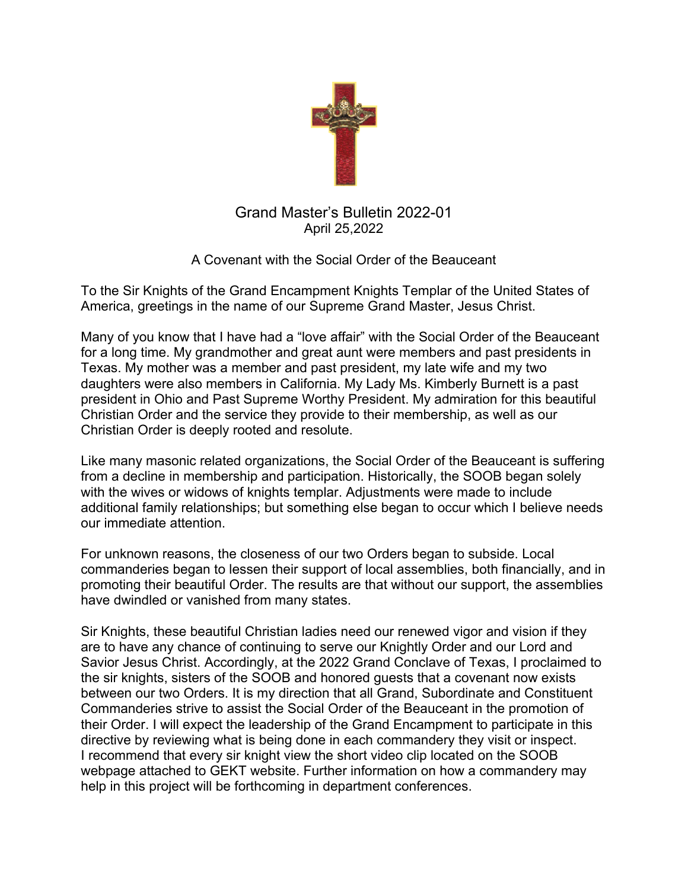

## Grand Master's Bulletin 2022-01 April 25,2022

A Covenant with the Social Order of the Beauceant

To the Sir Knights of the Grand Encampment Knights Templar of the United States of America, greetings in the name of our Supreme Grand Master, Jesus Christ.

Many of you know that I have had a "love affair" with the Social Order of the Beauceant for a long time. My grandmother and great aunt were members and past presidents in Texas. My mother was a member and past president, my late wife and my two daughters were also members in California. My Lady Ms. Kimberly Burnett is a past president in Ohio and Past Supreme Worthy President. My admiration for this beautiful Christian Order and the service they provide to their membership, as well as our Christian Order is deeply rooted and resolute.

Like many masonic related organizations, the Social Order of the Beauceant is suffering from a decline in membership and participation. Historically, the SOOB began solely with the wives or widows of knights templar. Adjustments were made to include additional family relationships; but something else began to occur which I believe needs our immediate attention.

For unknown reasons, the closeness of our two Orders began to subside. Local commanderies began to lessen their support of local assemblies, both financially, and in promoting their beautiful Order. The results are that without our support, the assemblies have dwindled or vanished from many states.

Sir Knights, these beautiful Christian ladies need our renewed vigor and vision if they are to have any chance of continuing to serve our Knightly Order and our Lord and Savior Jesus Christ. Accordingly, at the 2022 Grand Conclave of Texas, I proclaimed to the sir knights, sisters of the SOOB and honored guests that a covenant now exists between our two Orders. It is my direction that all Grand, Subordinate and Constituent Commanderies strive to assist the Social Order of the Beauceant in the promotion of their Order. I will expect the leadership of the Grand Encampment to participate in this directive by reviewing what is being done in each commandery they visit or inspect. I recommend that every sir knight view the short video clip located on the SOOB webpage attached to GEKT website. Further information on how a commandery may help in this project will be forthcoming in department conferences.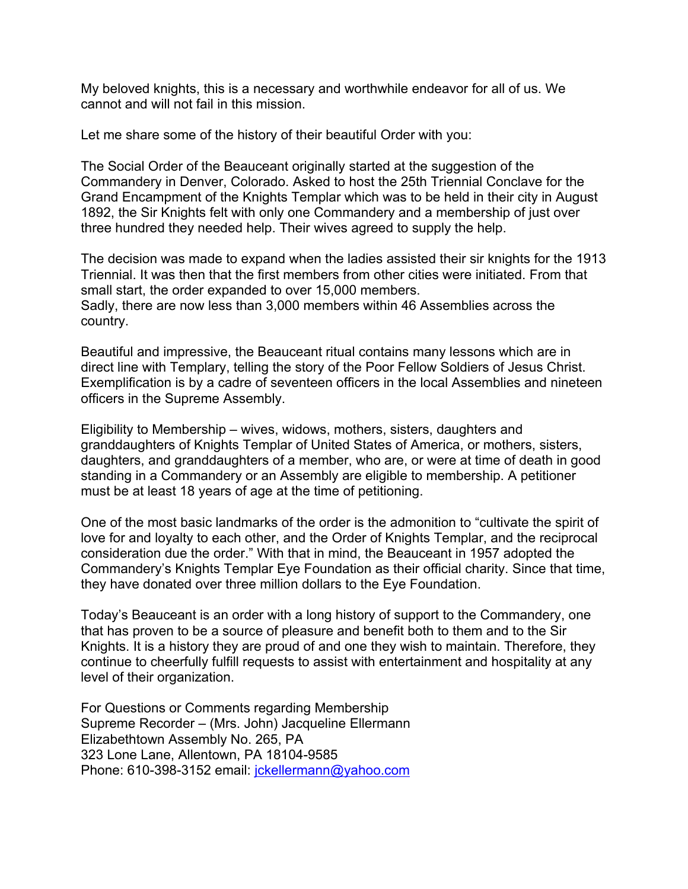My beloved knights, this is a necessary and worthwhile endeavor for all of us. We cannot and will not fail in this mission.

Let me share some of the history of their beautiful Order with you:

The Social Order of the Beauceant originally started at the suggestion of the Commandery in Denver, Colorado. Asked to host the 25th Triennial Conclave for the Grand Encampment of the Knights Templar which was to be held in their city in August 1892, the Sir Knights felt with only one Commandery and a membership of just over three hundred they needed help. Their wives agreed to supply the help.

The decision was made to expand when the ladies assisted their sir knights for the 1913 Triennial. It was then that the first members from other cities were initiated. From that small start, the order expanded to over 15,000 members. Sadly, there are now less than 3,000 members within 46 Assemblies across the country.

Beautiful and impressive, the Beauceant ritual contains many lessons which are in direct line with Templary, telling the story of the Poor Fellow Soldiers of Jesus Christ. Exemplification is by a cadre of seventeen officers in the local Assemblies and nineteen officers in the Supreme Assembly.

Eligibility to Membership – wives, widows, mothers, sisters, daughters and granddaughters of Knights Templar of United States of America, or mothers, sisters, daughters, and granddaughters of a member, who are, or were at time of death in good standing in a Commandery or an Assembly are eligible to membership. A petitioner must be at least 18 years of age at the time of petitioning.

One of the most basic landmarks of the order is the admonition to "cultivate the spirit of love for and loyalty to each other, and the Order of Knights Templar, and the reciprocal consideration due the order." With that in mind, the Beauceant in 1957 adopted the Commandery's Knights Templar Eye Foundation as their official charity. Since that time, they have donated over three million dollars to the Eye Foundation.

Today's Beauceant is an order with a long history of support to the Commandery, one that has proven to be a source of pleasure and benefit both to them and to the Sir Knights. It is a history they are proud of and one they wish to maintain. Therefore, they continue to cheerfully fulfill requests to assist with entertainment and hospitality at any level of their organization.

For Questions or Comments regarding Membership Supreme Recorder – (Mrs. John) Jacqueline Ellermann Elizabethtown Assembly No. 265, PA 323 Lone Lane, Allentown, PA 18104-9585 Phone: 610-398-3152 email: [jckellermann@yahoo.com](javascript:DeCryptX()